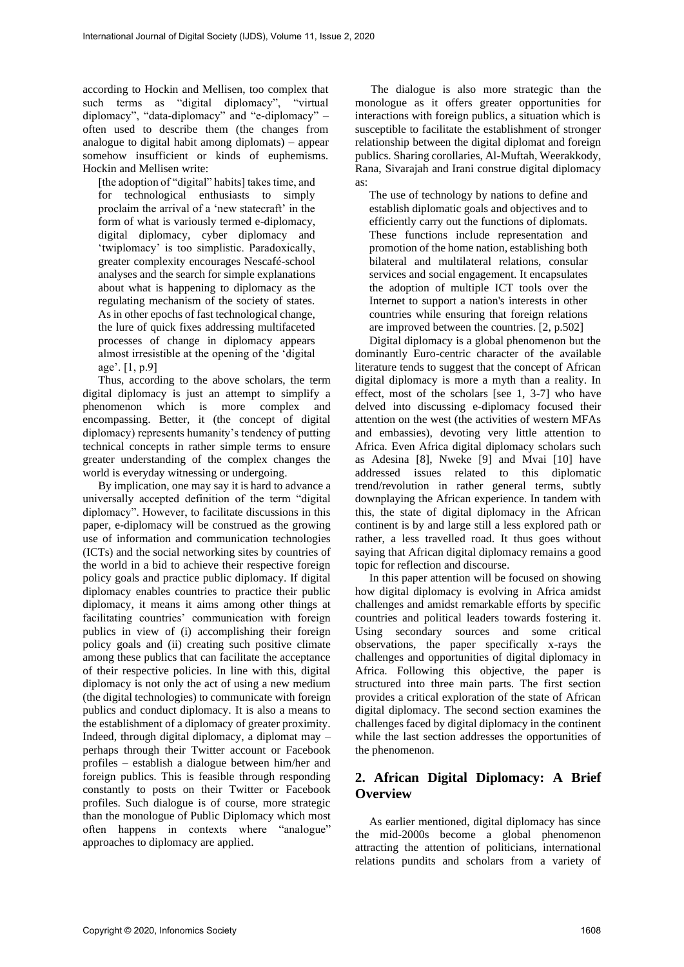according to Hockin and Mellisen, too complex that such terms as "digital diplomacy", "virtual diplomacy", "data-diplomacy" and "e-diplomacy" – often used to describe them (the changes from analogue to digital habit among diplomats) – appear somehow insufficient or kinds of euphemisms. Hockin and Mellisen write:

[the adoption of "digital" habits] takes time, and for technological enthusiasts to simply proclaim the arrival of a 'new statecraft' in the form of what is variously termed e-diplomacy, digital diplomacy, cyber diplomacy and 'twiplomacy' is too simplistic. Paradoxically, greater complexity encourages Nescafé-school analyses and the search for simple explanations about what is happening to diplomacy as the regulating mechanism of the society of states. As in other epochs of fast technological change, the lure of quick fixes addressing multifaceted processes of change in diplomacy appears almost irresistible at the opening of the 'digital age'. [1, p.9]

Thus, according to the above scholars, the term digital diplomacy is just an attempt to simplify a phenomenon which is more complex and encompassing. Better, it (the concept of digital diplomacy) represents humanity's tendency of putting technical concepts in rather simple terms to ensure greater understanding of the complex changes the world is everyday witnessing or undergoing.

By implication, one may say it is hard to advance a universally accepted definition of the term "digital diplomacy". However, to facilitate discussions in this paper, e-diplomacy will be construed as the growing use of information and communication technologies (ICTs) and the social networking sites by countries of the world in a bid to achieve their respective foreign policy goals and practice public diplomacy. If digital diplomacy enables countries to practice their public diplomacy, it means it aims among other things at facilitating countries' communication with foreign publics in view of (i) accomplishing their foreign policy goals and (ii) creating such positive climate among these publics that can facilitate the acceptance of their respective policies. In line with this, digital diplomacy is not only the act of using a new medium (the digital technologies) to communicate with foreign publics and conduct diplomacy. It is also a means to the establishment of a diplomacy of greater proximity. Indeed, through digital diplomacy, a diplomat may – perhaps through their Twitter account or Facebook profiles – establish a dialogue between him/her and foreign publics. This is feasible through responding constantly to posts on their Twitter or Facebook profiles. Such dialogue is of course, more strategic than the monologue of Public Diplomacy which most often happens in contexts where "analogue" approaches to diplomacy are applied.

The dialogue is also more strategic than the monologue as it offers greater opportunities for interactions with foreign publics, a situation which is susceptible to facilitate the establishment of stronger relationship between the digital diplomat and foreign publics. Sharing corollaries, Al-Muftah, Weerakkody, Rana, Sivarajah and Irani construe digital diplomacy as:

The use of technology by nations to define and establish diplomatic goals and objectives and to efficiently carry out the functions of diplomats. These functions include representation and promotion of the home nation, establishing both bilateral and multilateral relations, consular services and social engagement. It encapsulates the adoption of multiple ICT tools over the Internet to support a nation's interests in other countries while ensuring that foreign relations are improved between the countries. [2, p.502]

Digital diplomacy is a global phenomenon but the dominantly Euro-centric character of the available literature tends to suggest that the concept of African digital diplomacy is more a myth than a reality. In effect, most of the scholars [see 1, 3-7] who have delved into discussing e-diplomacy focused their attention on the west (the activities of western MFAs and embassies), devoting very little attention to Africa. Even Africa digital diplomacy scholars such as Adesina [8], Nweke [9] and Mvai [10] have addressed issues related to this diplomatic trend/revolution in rather general terms, subtly downplaying the African experience. In tandem with this, the state of digital diplomacy in the African continent is by and large still a less explored path or rather, a less travelled road. It thus goes without saying that African digital diplomacy remains a good topic for reflection and discourse.

In this paper attention will be focused on showing how digital diplomacy is evolving in Africa amidst challenges and amidst remarkable efforts by specific countries and political leaders towards fostering it. Using secondary sources and some critical observations, the paper specifically x-rays the challenges and opportunities of digital diplomacy in Africa. Following this objective, the paper is structured into three main parts. The first section provides a critical exploration of the state of African digital diplomacy. The second section examines the challenges faced by digital diplomacy in the continent while the last section addresses the opportunities of the phenomenon.

# **2. African Digital Diplomacy: A Brief Overview**

As earlier mentioned, digital diplomacy has since the mid-2000s become a global phenomenon attracting the attention of politicians, international relations pundits and scholars from a variety of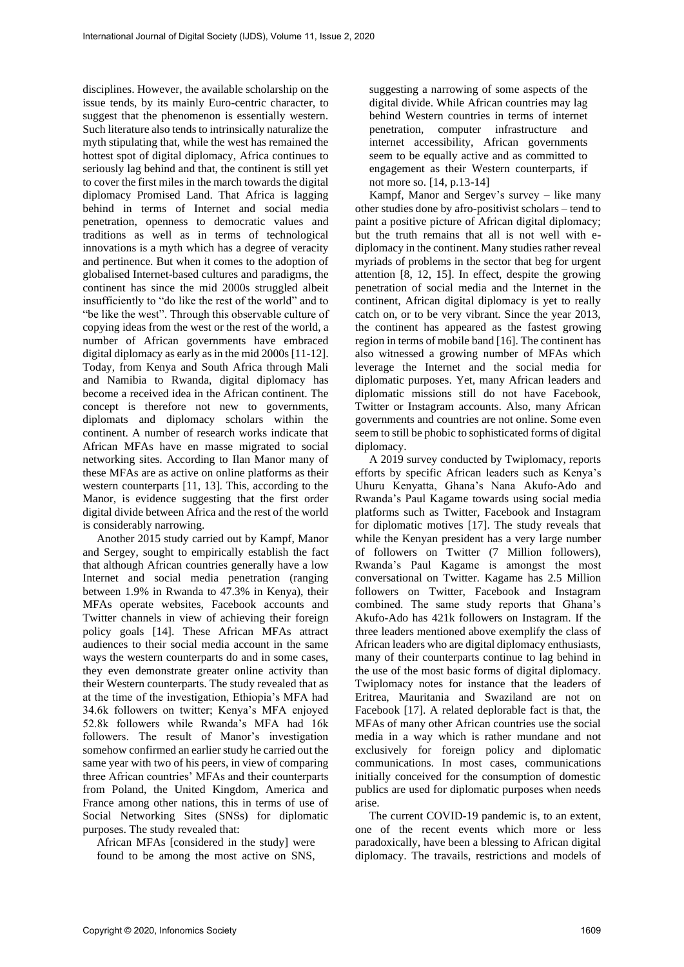disciplines. However, the available scholarship on the issue tends, by its mainly Euro-centric character, to suggest that the phenomenon is essentially western. Such literature also tends to intrinsically naturalize the myth stipulating that, while the west has remained the hottest spot of digital diplomacy, Africa continues to seriously lag behind and that, the continent is still yet to cover the first miles in the march towards the digital diplomacy Promised Land. That Africa is lagging behind in terms of Internet and social media penetration, openness to democratic values and traditions as well as in terms of technological innovations is a myth which has a degree of veracity and pertinence. But when it comes to the adoption of globalised Internet-based cultures and paradigms, the continent has since the mid 2000s struggled albeit insufficiently to "do like the rest of the world" and to "be like the west". Through this observable culture of copying ideas from the west or the rest of the world, a number of African governments have embraced digital diplomacy as early as in the mid 2000s [11-12]. Today, from Kenya and South Africa through Mali and Namibia to Rwanda, digital diplomacy has become a received idea in the African continent. The concept is therefore not new to governments, diplomats and diplomacy scholars within the continent. A number of research works indicate that African MFAs have en masse migrated to social networking sites. According to Ilan Manor many of these MFAs are as active on online platforms as their western counterparts [11, 13]. This, according to the Manor, is evidence suggesting that the first order digital divide between Africa and the rest of the world is considerably narrowing.

Another 2015 study carried out by Kampf, Manor and Sergey, sought to empirically establish the fact that although African countries generally have a low Internet and social media penetration (ranging between 1.9% in Rwanda to 47.3% in Kenya), their MFAs operate websites, Facebook accounts and Twitter channels in view of achieving their foreign policy goals [14]. These African MFAs attract audiences to their social media account in the same ways the western counterparts do and in some cases, they even demonstrate greater online activity than their Western counterparts. The study revealed that as at the time of the investigation, Ethiopia's MFA had 34.6k followers on twitter; Kenya's MFA enjoyed 52.8k followers while Rwanda's MFA had 16k followers. The result of Manor's investigation somehow confirmed an earlier study he carried out the same year with two of his peers, in view of comparing three African countries' MFAs and their counterparts from Poland, the United Kingdom, America and France among other nations, this in terms of use of Social Networking Sites (SNSs) for diplomatic purposes. The study revealed that:

African MFAs [considered in the study] were found to be among the most active on SNS, suggesting a narrowing of some aspects of the digital divide. While African countries may lag behind Western countries in terms of internet penetration, computer infrastructure and internet accessibility, African governments seem to be equally active and as committed to engagement as their Western counterparts, if not more so. [14, p.13-14]

Kampf, Manor and Sergev's survey – like many other studies done by afro-positivist scholars – tend to paint a positive picture of African digital diplomacy; but the truth remains that all is not well with ediplomacy in the continent. Many studies rather reveal myriads of problems in the sector that beg for urgent attention [8, 12, 15]. In effect, despite the growing penetration of social media and the Internet in the continent, African digital diplomacy is yet to really catch on, or to be very vibrant. Since the year 2013, the continent has appeared as the fastest growing region in terms of mobile band [16]. The continent has also witnessed a growing number of MFAs which leverage the Internet and the social media for diplomatic purposes. Yet, many African leaders and diplomatic missions still do not have Facebook, Twitter or Instagram accounts. Also, many African governments and countries are not online. Some even seem to still be phobic to sophisticated forms of digital diplomacy.

A 2019 survey conducted by Twiplomacy, reports efforts by specific African leaders such as Kenya's Uhuru Kenyatta, Ghana's Nana Akufo-Ado and Rwanda's Paul Kagame towards using social media platforms such as Twitter, Facebook and Instagram for diplomatic motives [17]. The study reveals that while the Kenyan president has a very large number of followers on Twitter (7 Million followers), Rwanda's Paul Kagame is amongst the most conversational on Twitter. Kagame has 2.5 Million followers on Twitter, Facebook and Instagram combined. The same study reports that Ghana's Akufo-Ado has 421k followers on Instagram. If the three leaders mentioned above exemplify the class of African leaders who are digital diplomacy enthusiasts, many of their counterparts continue to lag behind in the use of the most basic forms of digital diplomacy. Twiplomacy notes for instance that the leaders of Eritrea, Mauritania and Swaziland are not on Facebook [17]. A related deplorable fact is that, the MFAs of many other African countries use the social media in a way which is rather mundane and not exclusively for foreign policy and diplomatic communications. In most cases, communications initially conceived for the consumption of domestic publics are used for diplomatic purposes when needs arise.

The current COVID-19 pandemic is, to an extent, one of the recent events which more or less paradoxically, have been a blessing to African digital diplomacy. The travails, restrictions and models of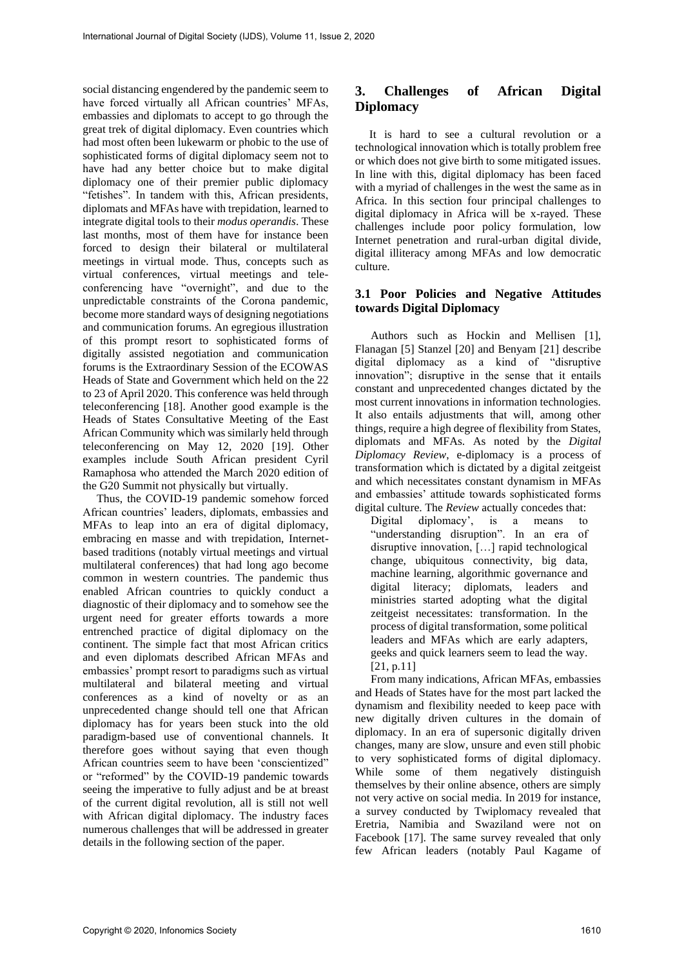social distancing engendered by the pandemic seem to have forced virtually all African countries' MFAs, embassies and diplomats to accept to go through the great trek of digital diplomacy. Even countries which had most often been lukewarm or phobic to the use of sophisticated forms of digital diplomacy seem not to have had any better choice but to make digital diplomacy one of their premier public diplomacy "fetishes". In tandem with this, African presidents, diplomats and MFAs have with trepidation, learned to integrate digital tools to their *modus operandis*. These last months, most of them have for instance been forced to design their bilateral or multilateral meetings in virtual mode. Thus, concepts such as virtual conferences, virtual meetings and teleconferencing have "overnight", and due to the unpredictable constraints of the Corona pandemic, become more standard ways of designing negotiations and communication forums. An egregious illustration of this prompt resort to sophisticated forms of digitally assisted negotiation and communication forums is the Extraordinary Session of the ECOWAS Heads of State and Government which held on the 22 to 23 of April 2020. This conference was held through teleconferencing [18]. Another good example is the Heads of States Consultative Meeting of the East African Community which was similarly held through teleconferencing on May 12, 2020 [19]. Other examples include South African president Cyril Ramaphosa who attended the March 2020 edition of the G20 Summit not physically but virtually.

Thus, the COVID-19 pandemic somehow forced African countries' leaders, diplomats, embassies and MFAs to leap into an era of digital diplomacy, embracing en masse and with trepidation, Internetbased traditions (notably virtual meetings and virtual multilateral conferences) that had long ago become common in western countries. The pandemic thus enabled African countries to quickly conduct a diagnostic of their diplomacy and to somehow see the urgent need for greater efforts towards a more entrenched practice of digital diplomacy on the continent. The simple fact that most African critics and even diplomats described African MFAs and embassies' prompt resort to paradigms such as virtual multilateral and bilateral meeting and virtual conferences as a kind of novelty or as an unprecedented change should tell one that African diplomacy has for years been stuck into the old paradigm-based use of conventional channels. It therefore goes without saying that even though African countries seem to have been 'conscientized" or "reformed" by the COVID-19 pandemic towards seeing the imperative to fully adjust and be at breast of the current digital revolution, all is still not well with African digital diplomacy. The industry faces numerous challenges that will be addressed in greater details in the following section of the paper.

# **3. Challenges of African Digital Diplomacy**

It is hard to see a cultural revolution or a technological innovation which is totally problem free or which does not give birth to some mitigated issues. In line with this, digital diplomacy has been faced with a myriad of challenges in the west the same as in Africa. In this section four principal challenges to digital diplomacy in Africa will be x-rayed. These challenges include poor policy formulation, low Internet penetration and rural-urban digital divide, digital illiteracy among MFAs and low democratic culture.

### **3.1 Poor Policies and Negative Attitudes towards Digital Diplomacy**

Authors such as Hockin and Mellisen [1]. Flanagan [5] Stanzel [20] and Benyam [21] describe digital diplomacy as a kind of "disruptive innovation"; disruptive in the sense that it entails constant and unprecedented changes dictated by the most current innovations in information technologies. It also entails adjustments that will, among other things, require a high degree of flexibility from States, diplomats and MFAs. As noted by the *Digital Diplomacy Review*, e-diplomacy is a process of transformation which is dictated by a digital zeitgeist and which necessitates constant dynamism in MFAs and embassies' attitude towards sophisticated forms digital culture. The *Review* actually concedes that:

Digital diplomacy', is a means to "understanding disruption". In an era of disruptive innovation, […] rapid technological change, ubiquitous connectivity, big data, machine learning, algorithmic governance and digital literacy; diplomats, leaders and ministries started adopting what the digital zeitgeist necessitates: transformation. In the process of digital transformation, some political leaders and MFAs which are early adapters, geeks and quick learners seem to lead the way. [21, p.11]

From many indications, African MFAs, embassies and Heads of States have for the most part lacked the dynamism and flexibility needed to keep pace with new digitally driven cultures in the domain of diplomacy. In an era of supersonic digitally driven changes, many are slow, unsure and even still phobic to very sophisticated forms of digital diplomacy. While some of them negatively distinguish themselves by their online absence, others are simply not very active on social media. In 2019 for instance, a survey conducted by Twiplomacy revealed that Eretria, Namibia and Swaziland were not on Facebook [17]. The same survey revealed that only few African leaders (notably Paul Kagame of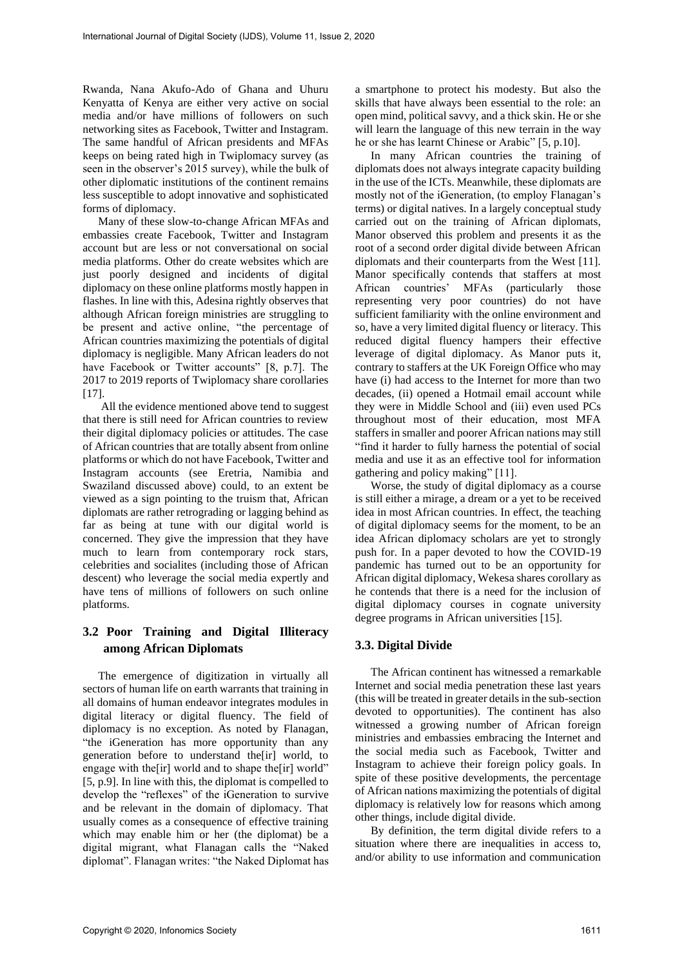Rwanda, Nana Akufo-Ado of Ghana and Uhuru Kenyatta of Kenya are either very active on social media and/or have millions of followers on such networking sites as Facebook, Twitter and Instagram. The same handful of African presidents and MFAs keeps on being rated high in Twiplomacy survey (as seen in the observer's 2015 survey), while the bulk of other diplomatic institutions of the continent remains less susceptible to adopt innovative and sophisticated forms of diplomacy.

Many of these slow-to-change African MFAs and embassies create Facebook, Twitter and Instagram account but are less or not conversational on social media platforms. Other do create websites which are just poorly designed and incidents of digital diplomacy on these online platforms mostly happen in flashes. In line with this, Adesina rightly observes that although African foreign ministries are struggling to be present and active online, "the percentage of African countries maximizing the potentials of digital diplomacy is negligible. Many African leaders do not have Facebook or Twitter accounts" [8, p.7]. The 2017 to 2019 reports of Twiplomacy share corollaries [17].

All the evidence mentioned above tend to suggest that there is still need for African countries to review their digital diplomacy policies or attitudes. The case of African countries that are totally absent from online platforms or which do not have Facebook, Twitter and Instagram accounts (see Eretria, Namibia and Swaziland discussed above) could, to an extent be viewed as a sign pointing to the truism that, African diplomats are rather retrograding or lagging behind as far as being at tune with our digital world is concerned. They give the impression that they have much to learn from contemporary rock stars, celebrities and socialites (including those of African descent) who leverage the social media expertly and have tens of millions of followers on such online platforms.

# **3.2 Poor Training and Digital Illiteracy among African Diplomats**

The emergence of digitization in virtually all sectors of human life on earth warrants that training in all domains of human endeavor integrates modules in digital literacy or digital fluency. The field of diplomacy is no exception. As noted by Flanagan, "the iGeneration has more opportunity than any generation before to understand the[ir] world, to engage with the[ir] world and to shape the[ir] world" [5, p.9]. In line with this, the diplomat is compelled to develop the "reflexes" of the iGeneration to survive and be relevant in the domain of diplomacy. That usually comes as a consequence of effective training which may enable him or her (the diplomat) be a digital migrant, what Flanagan calls the "Naked diplomat". Flanagan writes: "the Naked Diplomat has a smartphone to protect his modesty. But also the skills that have always been essential to the role: an open mind, political savvy, and a thick skin. He or she will learn the language of this new terrain in the way he or she has learnt Chinese or Arabic" [5, p.10].

In many African countries the training of diplomats does not always integrate capacity building in the use of the ICTs. Meanwhile, these diplomats are mostly not of the iGeneration, (to employ Flanagan's terms) or digital natives. In a largely conceptual study carried out on the training of African diplomats, Manor observed this problem and presents it as the root of a second order digital divide between African diplomats and their counterparts from the West [11]. Manor specifically contends that staffers at most African countries' MFAs (particularly those representing very poor countries) do not have sufficient familiarity with the online environment and so, have a very limited digital fluency or literacy. This reduced digital fluency hampers their effective leverage of digital diplomacy. As Manor puts it, contrary to staffers at the UK Foreign Office who may have (i) had access to the Internet for more than two decades, (ii) opened a Hotmail email account while they were in Middle School and (iii) even used PCs throughout most of their education, most MFA staffers in smaller and poorer African nations may still "find it harder to fully harness the potential of social media and use it as an effective tool for information gathering and policy making" [11].

Worse, the study of digital diplomacy as a course is still either a mirage, a dream or a yet to be received idea in most African countries. In effect, the teaching of digital diplomacy seems for the moment, to be an idea African diplomacy scholars are yet to strongly push for. In a paper devoted to how the COVID-19 pandemic has turned out to be an opportunity for African digital diplomacy, Wekesa shares corollary as he contends that there is a need for the inclusion of digital diplomacy courses in cognate university degree programs in African universities [15].

#### **3.3. Digital Divide**

The African continent has witnessed a remarkable Internet and social media penetration these last years (this will be treated in greater details in the sub-section devoted to opportunities). The continent has also witnessed a growing number of African foreign ministries and embassies embracing the Internet and the social media such as Facebook, Twitter and Instagram to achieve their foreign policy goals. In spite of these positive developments, the percentage of African nations maximizing the potentials of digital diplomacy is relatively low for reasons which among other things, include digital divide.

By definition, the term digital divide refers to a situation where there are inequalities in access to, and/or ability to use information and communication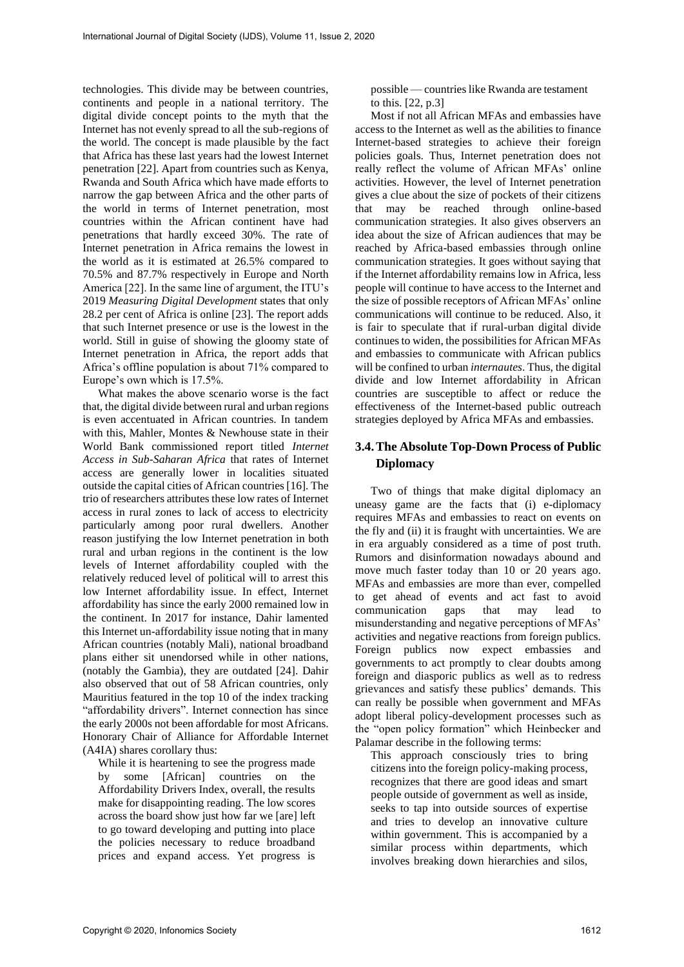technologies. This divide may be between countries, continents and people in a national territory. The digital divide concept points to the myth that the Internet has not evenly spread to all the sub-regions of the world. The concept is made plausible by the fact that Africa has these last years had the lowest Internet penetration [22]. Apart from countries such as Kenya, Rwanda and South Africa which have made efforts to narrow the gap between Africa and the other parts of the world in terms of Internet penetration, most countries within the African continent have had penetrations that hardly exceed 30%. The rate of Internet penetration in Africa remains the lowest in the world as it is estimated at 26.5% compared to 70.5% and 87.7% respectively in Europe and North America [22]. In the same line of argument, the ITU's 2019 *Measuring Digital Development* states that only 28.2 per cent of Africa is online [23]. The report adds that such Internet presence or use is the lowest in the world. Still in guise of showing the gloomy state of Internet penetration in Africa, the report adds that Africa's offline population is about 71% compared to Europe's own which is 17.5%.

What makes the above scenario worse is the fact that, the digital divide between rural and urban regions is even accentuated in African countries. In tandem with this, Mahler, Montes & Newhouse state in their World Bank commissioned report titled *Internet Access in Sub-Saharan Africa* that rates of Internet access are generally lower in localities situated outside the capital cities of African countries [16]. The trio of researchers attributes these low rates of Internet access in rural zones to lack of access to electricity particularly among poor rural dwellers. Another reason justifying the low Internet penetration in both rural and urban regions in the continent is the low levels of Internet affordability coupled with the relatively reduced level of political will to arrest this low Internet affordability issue. In effect, Internet affordability has since the early 2000 remained low in the continent. In 2017 for instance, Dahir lamented this Internet un-affordability issue noting that in many African countries (notably Mali), national broadband plans either sit unendorsed while in other nations, (notably the Gambia), they are outdated [24]. Dahir also observed that out of 58 African countries, only Mauritius featured in the top 10 of the index tracking "affordability drivers". Internet connection has since the early 2000s not been affordable for most Africans. Honorary Chair of Alliance for Affordable Internet (A4IA) shares corollary thus:

While it is heartening to see the progress made by some [African] countries on the Affordability Drivers Index, overall, the results make for disappointing reading. The low scores across the board show just how far we [are] left to go toward developing and putting into place the policies necessary to reduce broadband prices and expand access. Yet progress is

possible — countries like Rwanda are testament to this. [22, p.3]

Most if not all African MFAs and embassies have access to the Internet as well as the abilities to finance Internet-based strategies to achieve their foreign policies goals. Thus, Internet penetration does not really reflect the volume of African MFAs' online activities. However, the level of Internet penetration gives a clue about the size of pockets of their citizens that may be reached through online-based communication strategies. It also gives observers an idea about the size of African audiences that may be reached by Africa-based embassies through online communication strategies. It goes without saying that if the Internet affordability remains low in Africa, less people will continue to have access to the Internet and the size of possible receptors of African MFAs' online communications will continue to be reduced. Also, it is fair to speculate that if rural-urban digital divide continues to widen, the possibilities for African MFAs and embassies to communicate with African publics will be confined to urban *internautes*. Thus, the digital divide and low Internet affordability in African countries are susceptible to affect or reduce the effectiveness of the Internet-based public outreach strategies deployed by Africa MFAs and embassies.

## **3.4.The Absolute Top-Down Process of Public Diplomacy**

Two of things that make digital diplomacy an uneasy game are the facts that (i) e-diplomacy requires MFAs and embassies to react on events on the fly and (ii) it is fraught with uncertainties. We are in era arguably considered as a time of post truth. Rumors and disinformation nowadays abound and move much faster today than 10 or 20 years ago. MFAs and embassies are more than ever, compelled to get ahead of events and act fast to avoid communication gaps that may lead to misunderstanding and negative perceptions of MFAs' activities and negative reactions from foreign publics. Foreign publics now expect embassies and governments to act promptly to clear doubts among foreign and diasporic publics as well as to redress grievances and satisfy these publics' demands. This can really be possible when government and MFAs adopt liberal policy-development processes such as the "open policy formation" which Heinbecker and Palamar describe in the following terms:

This approach consciously tries to bring citizens into the foreign policy-making process, recognizes that there are good ideas and smart people outside of government as well as inside, seeks to tap into outside sources of expertise and tries to develop an innovative culture within government. This is accompanied by a similar process within departments, which involves breaking down hierarchies and silos,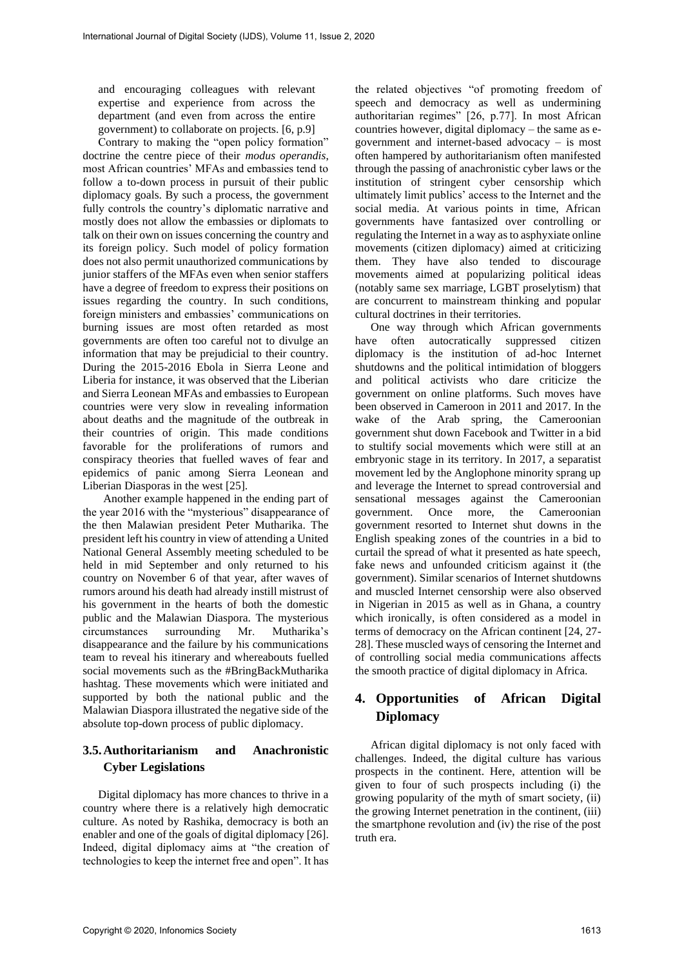and encouraging colleagues with relevant expertise and experience from across the department (and even from across the entire government) to collaborate on projects. [6, p.9]

Contrary to making the "open policy formation" doctrine the centre piece of their *modus operandis*, most African countries' MFAs and embassies tend to follow a to-down process in pursuit of their public diplomacy goals. By such a process, the government fully controls the country's diplomatic narrative and mostly does not allow the embassies or diplomats to talk on their own on issues concerning the country and its foreign policy. Such model of policy formation does not also permit unauthorized communications by junior staffers of the MFAs even when senior staffers have a degree of freedom to express their positions on issues regarding the country. In such conditions, foreign ministers and embassies' communications on burning issues are most often retarded as most governments are often too careful not to divulge an information that may be prejudicial to their country. During the 2015-2016 Ebola in Sierra Leone and Liberia for instance, it was observed that the Liberian and Sierra Leonean MFAs and embassies to European countries were very slow in revealing information about deaths and the magnitude of the outbreak in their countries of origin. This made conditions favorable for the proliferations of rumors and conspiracy theories that fuelled waves of fear and epidemics of panic among Sierra Leonean and Liberian Diasporas in the west [25].

Another example happened in the ending part of the year 2016 with the "mysterious" disappearance of the then Malawian president Peter Mutharika. The president left his country in view of attending a United National General Assembly meeting scheduled to be held in mid September and only returned to his country on November 6 of that year, after waves of rumors around his death had already instill mistrust of his government in the hearts of both the domestic public and the Malawian Diaspora. The mysterious circumstances surrounding Mr. Mutharika's disappearance and the failure by his communications team to reveal his itinerary and whereabouts fuelled social movements such as the #BringBackMutharika hashtag. These movements which were initiated and supported by both the national public and the Malawian Diaspora illustrated the negative side of the absolute top-down process of public diplomacy.

# **3.5.Authoritarianism and Anachronistic Cyber Legislations**

Digital diplomacy has more chances to thrive in a country where there is a relatively high democratic culture. As noted by Rashika, democracy is both an enabler and one of the goals of digital diplomacy [26]. Indeed, digital diplomacy aims at "the creation of technologies to keep the internet free and open". It has

the related objectives "of promoting freedom of speech and democracy as well as undermining authoritarian regimes" [26, p.77]. In most African countries however, digital diplomacy – the same as egovernment and internet-based advocacy – is most often hampered by authoritarianism often manifested through the passing of anachronistic cyber laws or the institution of stringent cyber censorship which ultimately limit publics' access to the Internet and the social media. At various points in time, African governments have fantasized over controlling or regulating the Internet in a way as to asphyxiate online movements (citizen diplomacy) aimed at criticizing them. They have also tended to discourage movements aimed at popularizing political ideas (notably same sex marriage, LGBT proselytism) that are concurrent to mainstream thinking and popular cultural doctrines in their territories.

One way through which African governments have often autocratically suppressed citizen diplomacy is the institution of ad-hoc Internet shutdowns and the political intimidation of bloggers and political activists who dare criticize the government on online platforms. Such moves have been observed in Cameroon in 2011 and 2017. In the wake of the Arab spring, the Cameroonian government shut down Facebook and Twitter in a bid to stultify social movements which were still at an embryonic stage in its territory. In 2017, a separatist movement led by the Anglophone minority sprang up and leverage the Internet to spread controversial and sensational messages against the Cameroonian government. Once more, the Cameroonian government resorted to Internet shut downs in the English speaking zones of the countries in a bid to curtail the spread of what it presented as hate speech, fake news and unfounded criticism against it (the government). Similar scenarios of Internet shutdowns and muscled Internet censorship were also observed in Nigerian in 2015 as well as in Ghana, a country which ironically, is often considered as a model in terms of democracy on the African continent [24, 27- 28]. These muscled ways of censoring the Internet and of controlling social media communications affects the smooth practice of digital diplomacy in Africa.

# **4. Opportunities of African Digital Diplomacy**

African digital diplomacy is not only faced with challenges. Indeed, the digital culture has various prospects in the continent. Here, attention will be given to four of such prospects including (i) the growing popularity of the myth of smart society, (ii) the growing Internet penetration in the continent, (iii) the smartphone revolution and (iv) the rise of the post truth era.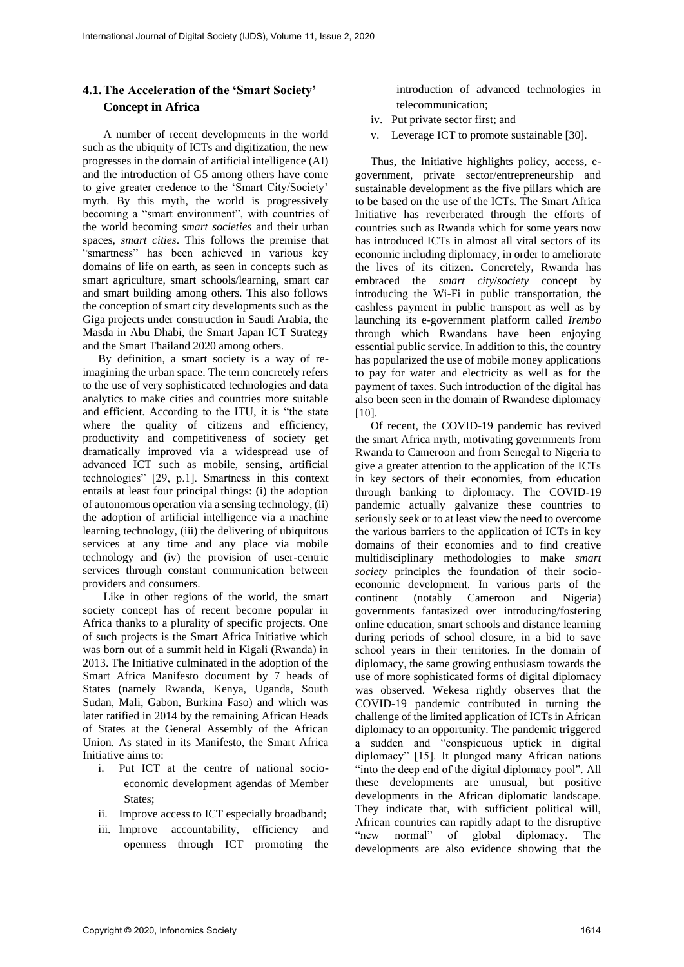# **4.1.The Acceleration of the 'Smart Society' Concept in Africa**

A number of recent developments in the world such as the ubiquity of ICTs and digitization, the new progresses in the domain of artificial intelligence (AI) and the introduction of G5 among others have come to give greater credence to the 'Smart City/Society' myth. By this myth, the world is progressively becoming a "smart environment", with countries of the world becoming *smart societies* and their urban spaces, *smart cities*. This follows the premise that "smartness" has been achieved in various key domains of life on earth, as seen in concepts such as smart agriculture, smart schools/learning, smart car and smart building among others. This also follows the conception of smart city developments such as the Giga projects under construction in Saudi Arabia, the Masda in Abu Dhabi, the Smart Japan ICT Strategy and the Smart Thailand 2020 among others.

By definition, a smart society is a way of reimagining the urban space. The term concretely refers to the use of very sophisticated technologies and data analytics to make cities and countries more suitable and efficient. According to the ITU, it is "the state where the quality of citizens and efficiency, productivity and competitiveness of society get dramatically improved via a widespread use of advanced ICT such as mobile, sensing, artificial technologies" [29, p.1]. Smartness in this context entails at least four principal things: (i) the adoption of autonomous operation via a sensing technology, (ii) the adoption of artificial intelligence via a machine learning technology, (iii) the delivering of ubiquitous services at any time and any place via mobile technology and (iv) the provision of user-centric services through constant communication between providers and consumers.

Like in other regions of the world, the smart society concept has of recent become popular in Africa thanks to a plurality of specific projects. One of such projects is the Smart Africa Initiative which was born out of a summit held in Kigali (Rwanda) in 2013. The Initiative culminated in the adoption of the Smart Africa Manifesto document by 7 heads of States (namely Rwanda, Kenya, Uganda, South Sudan, Mali, Gabon, Burkina Faso) and which was later ratified in 2014 by the remaining African Heads of States at the General Assembly of the African Union. As stated in its Manifesto, the Smart Africa Initiative aims to:

- i. Put ICT at the centre of national socioeconomic development agendas of Member States;
- ii. Improve access to ICT especially broadband;
- iii. Improve accountability, efficiency and openness through ICT promoting the

introduction of advanced technologies in telecommunication;

- iv. Put private sector first; and
- v. Leverage ICT to promote sustainable [30].

Thus, the Initiative highlights policy, access, egovernment, private sector/entrepreneurship and sustainable development as the five pillars which are to be based on the use of the ICTs. The Smart Africa Initiative has reverberated through the efforts of countries such as Rwanda which for some years now has introduced ICTs in almost all vital sectors of its economic including diplomacy, in order to ameliorate the lives of its citizen. Concretely, Rwanda has embraced the *smart city*/*society* concept by introducing the Wi-Fi in public transportation, the cashless payment in public transport as well as by launching its e-government platform called *Irembo* through which Rwandans have been enjoying essential public service. In addition to this, the country has popularized the use of mobile money applications to pay for water and electricity as well as for the payment of taxes. Such introduction of the digital has also been seen in the domain of Rwandese diplomacy [10].

Of recent, the COVID-19 pandemic has revived the smart Africa myth, motivating governments from Rwanda to Cameroon and from Senegal to Nigeria to give a greater attention to the application of the ICTs in key sectors of their economies, from education through banking to diplomacy. The COVID-19 pandemic actually galvanize these countries to seriously seek or to at least view the need to overcome the various barriers to the application of ICTs in key domains of their economies and to find creative multidisciplinary methodologies to make *smart society* principles the foundation of their socioeconomic development. In various parts of the continent (notably Cameroon and Nigeria) governments fantasized over introducing/fostering online education, smart schools and distance learning during periods of school closure, in a bid to save school years in their territories. In the domain of diplomacy, the same growing enthusiasm towards the use of more sophisticated forms of digital diplomacy was observed. Wekesa rightly observes that the COVID-19 pandemic contributed in turning the challenge of the limited application of ICTs in African diplomacy to an opportunity. The pandemic triggered a sudden and "conspicuous uptick in digital diplomacy" [15]. It plunged many African nations "into the deep end of the digital diplomacy pool". All these developments are unusual, but positive developments in the African diplomatic landscape. They indicate that, with sufficient political will, African countries can rapidly adapt to the disruptive "new normal" of global diplomacy. The developments are also evidence showing that the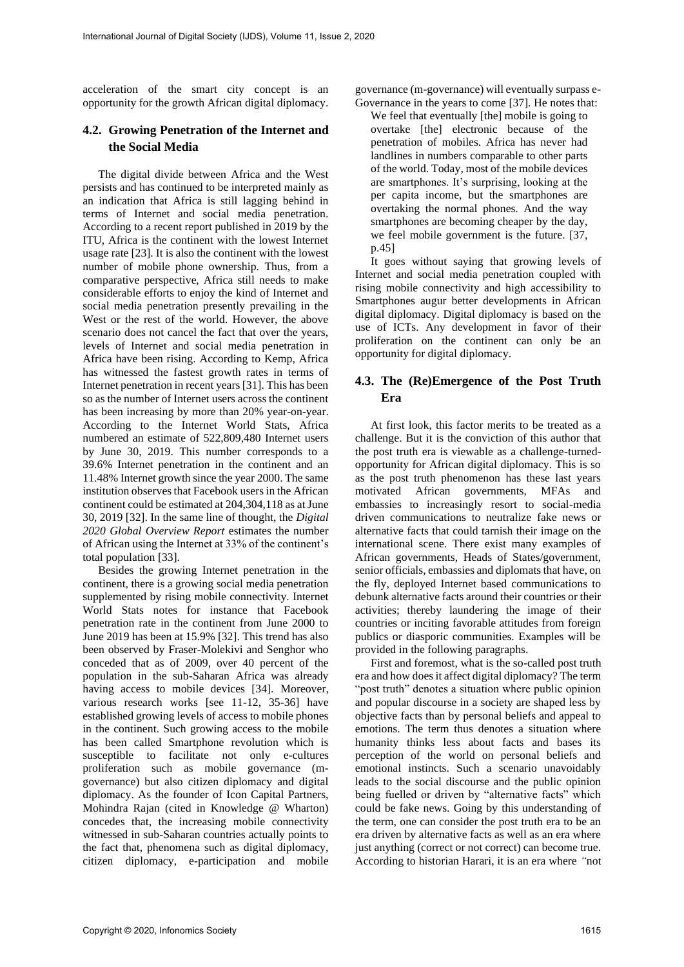acceleration of the smart city concept is an opportunity for the growth African digital diplomacy.

## **4.2. Growing Penetration of the Internet and the Social Media**

The digital divide between Africa and the West persists and has continued to be interpreted mainly as an indication that Africa is still lagging behind in terms of Internet and social media penetration. According to a recent report published in 2019 by the ITU, Africa is the continent with the lowest Internet usage rate [23]. It is also the continent with the lowest number of mobile phone ownership. Thus, from a comparative perspective, Africa still needs to make considerable efforts to enjoy the kind of Internet and social media penetration presently prevailing in the West or the rest of the world. However, the above scenario does not cancel the fact that over the years, levels of Internet and social media penetration in Africa have been rising. According to Kemp, Africa has witnessed the fastest growth rates in terms of Internet penetration in recent years [31]. This has been so as the number of Internet users across the continent has been increasing by more than 20% year-on-year. According to the Internet World Stats, Africa numbered an estimate of 522,809,480 Internet users by June 30, 2019. This number corresponds to a 39.6% Internet penetration in the continent and an 11.48% Internet growth since the year 2000. The same institution observes that Facebook users in the African continent could be estimated at 204,304,118 as at June 30, 2019 [32]. In the same line of thought, the *Digital 2020 Global Overview Report* estimates the number of African using the Internet at 33% of the continent's total population [33].

Besides the growing Internet penetration in the continent, there is a growing social media penetration supplemented by rising mobile connectivity. Internet World Stats notes for instance that Facebook penetration rate in the continent from June 2000 to June 2019 has been at 15.9% [32]. This trend has also been observed by Fraser-Molekivi and Senghor who conceded that as of 2009, over 40 percent of the population in the sub-Saharan Africa was already having access to mobile devices [34]. Moreover, various research works [see 11-12, 35-36] have established growing levels of access to mobile phones in the continent. Such growing access to the mobile has been called Smartphone revolution which is susceptible to facilitate not only e-cultures proliferation such as mobile governance (mgovernance) but also citizen diplomacy and digital diplomacy. As the founder of Icon Capital Partners, Mohindra Rajan (cited in Knowledge @ Wharton) concedes that, the increasing mobile connectivity witnessed in sub-Saharan countries actually points to the fact that, phenomena such as digital diplomacy, citizen diplomacy, e-participation and mobile governance (m-governance) will eventually surpass e-Governance in the years to come [37]. He notes that:

We feel that eventually [the] mobile is going to overtake [the] electronic because of the penetration of mobiles. Africa has never had landlines in numbers comparable to other parts of the world. Today, most of the mobile devices are smartphones. It's surprising, looking at the per capita income, but the smartphones are overtaking the normal phones. And the way smartphones are becoming cheaper by the day, we feel mobile government is the future. [37, p.45]

It goes without saying that growing levels of Internet and social media penetration coupled with rising mobile connectivity and high accessibility to Smartphones augur better developments in African digital diplomacy. Digital diplomacy is based on the use of ICTs. Any development in favor of their proliferation on the continent can only be an opportunity for digital diplomacy.

### **4.3. The (Re)Emergence of the Post Truth Era**

At first look, this factor merits to be treated as a challenge. But it is the conviction of this author that the post truth era is viewable as a challenge-turnedopportunity for African digital diplomacy. This is so as the post truth phenomenon has these last years motivated African governments, MFAs and embassies to increasingly resort to social-media driven communications to neutralize fake news or alternative facts that could tarnish their image on the international scene. There exist many examples of African governments, Heads of States/government, senior officials, embassies and diplomats that have, on the fly, deployed Internet based communications to debunk alternative facts around their countries or their activities; thereby laundering the image of their countries or inciting favorable attitudes from foreign publics or diasporic communities. Examples will be provided in the following paragraphs.

First and foremost, what is the so-called post truth era and how does it affect digital diplomacy? The term "post truth" denotes a situation where public opinion and popular discourse in a society are shaped less by objective facts than by personal beliefs and appeal to emotions. The term thus denotes a situation where humanity thinks less about facts and bases its perception of the world on personal beliefs and emotional instincts. Such a scenario unavoidably leads to the social discourse and the public opinion being fuelled or driven by "alternative facts" which could be fake news. Going by this understanding of the term, one can consider the post truth era to be an era driven by alternative facts as well as an era where just anything (correct or not correct) can become true. According to historian Harari, it is an era where *"*not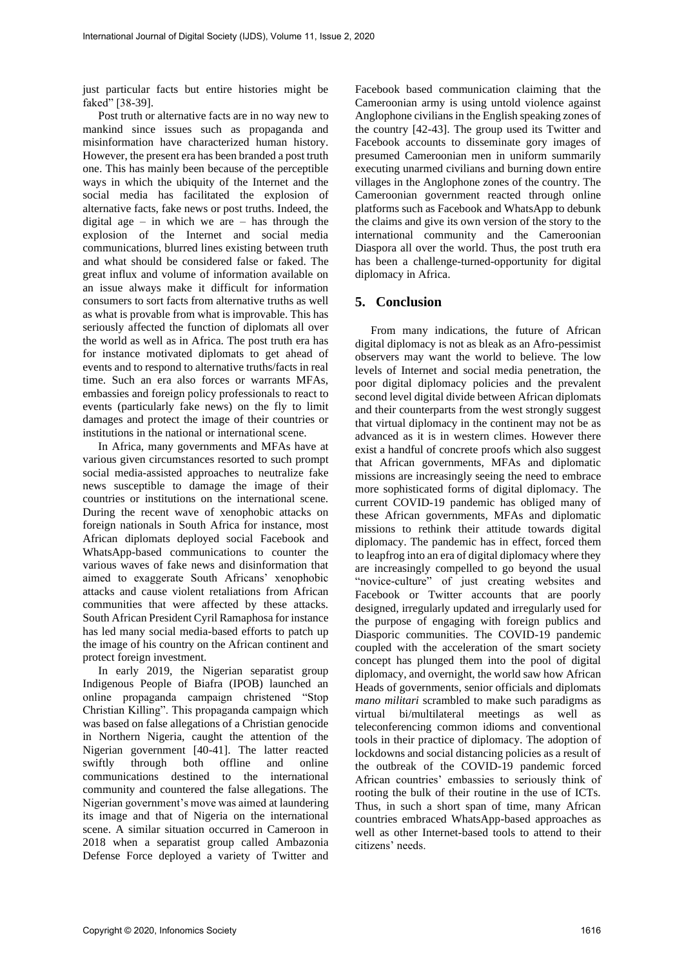just particular facts but entire histories might be faked" [38-39].

Post truth or alternative facts are in no way new to mankind since issues such as propaganda and misinformation have characterized human history. However, the present era has been branded a post truth one. This has mainly been because of the perceptible ways in which the ubiquity of the Internet and the social media has facilitated the explosion of alternative facts, fake news or post truths. Indeed, the digital age – in which we are – has through the explosion of the Internet and social media communications, blurred lines existing between truth and what should be considered false or faked. The great influx and volume of information available on an issue always make it difficult for information consumers to sort facts from alternative truths as well as what is provable from what is improvable. This has seriously affected the function of diplomats all over the world as well as in Africa. The post truth era has for instance motivated diplomats to get ahead of events and to respond to alternative truths/facts in real time. Such an era also forces or warrants MFAs, embassies and foreign policy professionals to react to events (particularly fake news) on the fly to limit damages and protect the image of their countries or institutions in the national or international scene.

In Africa, many governments and MFAs have at various given circumstances resorted to such prompt social media-assisted approaches to neutralize fake news susceptible to damage the image of their countries or institutions on the international scene. During the recent wave of xenophobic attacks on foreign nationals in South Africa for instance, most African diplomats deployed social Facebook and WhatsApp-based communications to counter the various waves of fake news and disinformation that aimed to exaggerate South Africans' xenophobic attacks and cause violent retaliations from African communities that were affected by these attacks. South African President Cyril Ramaphosa for instance has led many social media-based efforts to patch up the image of his country on the African continent and protect foreign investment.

In early 2019, the Nigerian separatist group Indigenous People of Biafra (IPOB) launched an online propaganda campaign christened "Stop Christian Killing". This propaganda campaign which was based on false allegations of a Christian genocide in Northern Nigeria, caught the attention of the Nigerian government [40-41]. The latter reacted swiftly through both offline and online communications destined to the international community and countered the false allegations. The Nigerian government's move was aimed at laundering its image and that of Nigeria on the international scene. A similar situation occurred in Cameroon in 2018 when a separatist group called Ambazonia Defense Force deployed a variety of Twitter and Facebook based communication claiming that the Cameroonian army is using untold violence against Anglophone civilians in the English speaking zones of the country [42-43]. The group used its Twitter and Facebook accounts to disseminate gory images of presumed Cameroonian men in uniform summarily executing unarmed civilians and burning down entire villages in the Anglophone zones of the country. The Cameroonian government reacted through online platforms such as Facebook and WhatsApp to debunk the claims and give its own version of the story to the international community and the Cameroonian Diaspora all over the world. Thus, the post truth era has been a challenge-turned-opportunity for digital diplomacy in Africa.

#### **5. Conclusion**

From many indications, the future of African digital diplomacy is not as bleak as an Afro-pessimist observers may want the world to believe. The low levels of Internet and social media penetration, the poor digital diplomacy policies and the prevalent second level digital divide between African diplomats and their counterparts from the west strongly suggest that virtual diplomacy in the continent may not be as advanced as it is in western climes. However there exist a handful of concrete proofs which also suggest that African governments, MFAs and diplomatic missions are increasingly seeing the need to embrace more sophisticated forms of digital diplomacy. The current COVID-19 pandemic has obliged many of these African governments, MFAs and diplomatic missions to rethink their attitude towards digital diplomacy. The pandemic has in effect, forced them to leapfrog into an era of digital diplomacy where they are increasingly compelled to go beyond the usual "novice-culture" of just creating websites and Facebook or Twitter accounts that are poorly designed, irregularly updated and irregularly used for the purpose of engaging with foreign publics and Diasporic communities. The COVID-19 pandemic coupled with the acceleration of the smart society concept has plunged them into the pool of digital diplomacy, and overnight, the world saw how African Heads of governments, senior officials and diplomats *mano militari* scrambled to make such paradigms as virtual bi/multilateral meetings as well as teleconferencing common idioms and conventional tools in their practice of diplomacy. The adoption of lockdowns and social distancing policies as a result of the outbreak of the COVID-19 pandemic forced African countries' embassies to seriously think of rooting the bulk of their routine in the use of ICTs. Thus, in such a short span of time, many African countries embraced WhatsApp-based approaches as well as other Internet-based tools to attend to their citizens' needs.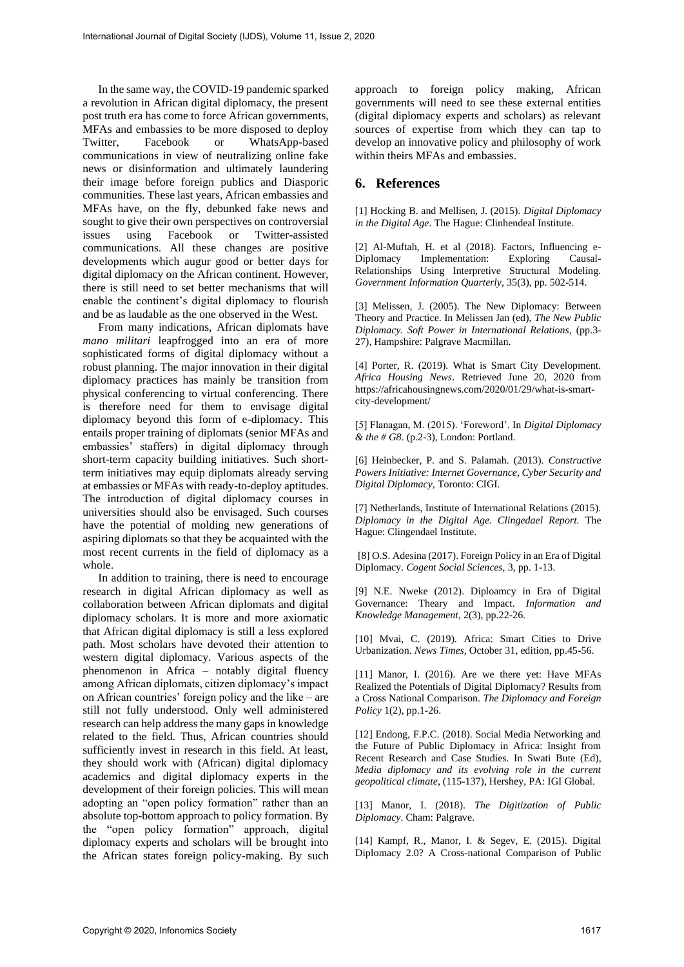In the same way, the COVID-19 pandemic sparked a revolution in African digital diplomacy, the present post truth era has come to force African governments, MFAs and embassies to be more disposed to deploy Twitter, Facebook or WhatsApp-based communications in view of neutralizing online fake news or disinformation and ultimately laundering their image before foreign publics and Diasporic communities. These last years, African embassies and MFAs have, on the fly, debunked fake news and sought to give their own perspectives on controversial issues using Facebook or Twitter-assisted communications. All these changes are positive developments which augur good or better days for digital diplomacy on the African continent. However, there is still need to set better mechanisms that will enable the continent's digital diplomacy to flourish and be as laudable as the one observed in the West.

From many indications, African diplomats have *mano militari* leapfrogged into an era of more sophisticated forms of digital diplomacy without a robust planning. The major innovation in their digital diplomacy practices has mainly be transition from physical conferencing to virtual conferencing. There is therefore need for them to envisage digital diplomacy beyond this form of e-diplomacy. This entails proper training of diplomats (senior MFAs and embassies' staffers) in digital diplomacy through short-term capacity building initiatives. Such shortterm initiatives may equip diplomats already serving at embassies or MFAs with ready-to-deploy aptitudes. The introduction of digital diplomacy courses in universities should also be envisaged. Such courses have the potential of molding new generations of aspiring diplomats so that they be acquainted with the most recent currents in the field of diplomacy as a whole.

In addition to training, there is need to encourage research in digital African diplomacy as well as collaboration between African diplomats and digital diplomacy scholars. It is more and more axiomatic that African digital diplomacy is still a less explored path. Most scholars have devoted their attention to western digital diplomacy. Various aspects of the phenomenon in Africa – notably digital fluency among African diplomats, citizen diplomacy's impact on African countries' foreign policy and the like – are still not fully understood. Only well administered research can help address the many gaps in knowledge related to the field. Thus, African countries should sufficiently invest in research in this field. At least, they should work with (African) digital diplomacy academics and digital diplomacy experts in the development of their foreign policies. This will mean adopting an "open policy formation" rather than an absolute top-bottom approach to policy formation. By the "open policy formation" approach, digital diplomacy experts and scholars will be brought into the African states foreign policy-making. By such approach to foreign policy making, African governments will need to see these external entities (digital diplomacy experts and scholars) as relevant sources of expertise from which they can tap to develop an innovative policy and philosophy of work within theirs MFAs and embassies.

#### **6. References**

[1] Hocking B. and Mellisen, J. (2015). *Digital Diplomacy in the Digital Age*. The Hague: Clinhendeal Institute.

[2] Al-Muftah, H. et al (2018). Factors, Influencing e-Implementation: Relationships Using Interpretive Structural Modeling. *Government Information Quarterly*, 35(3), pp. 502-514.

[3] Melissen, J. (2005). The New Diplomacy: Between Theory and Practice. In Melissen Jan (ed), *The New Public Diplomacy. Soft Power in International Relations*, (pp.3- 27), Hampshire: Palgrave Macmillan.

[4] Porter, R. (2019). What is Smart City Development. *Africa Housing News*. Retrieved June 20, 2020 from https://africahousingnews.com/2020/01/29/what-is-smartcity-development/

[5] Flanagan, M. (2015). 'Foreword'. In *Digital Diplomacy & the # G8*. (p.2-3), London: Portland.

[6] Heinbecker, P. and S. Palamah. (2013). *Constructive Powers Initiative: Internet Governance, Cyber Security and Digital Diplomacy*, Toronto: CIGI.

[7] Netherlands, Institute of International Relations (2015). *Diplomacy in the Digital Age. Clingedael Report.* The Hague: Clingendael Institute.

[8] O.S. Adesina (2017). Foreign Policy in an Era of Digital Diplomacy. *Cogent Social Sciences*, 3, pp. 1-13.

[9] N.E. Nweke (2012). Diploamcy in Era of Digital Governance: Theary and Impact. *Information and Knowledge Management*, 2(3), pp.22-26.

[10] Mvai, C. (2019). Africa: Smart Cities to Drive Urbanization. *News Times,* October 31, edition, pp.45-56.

[11] Manor, I. (2016). Are we there yet: Have MFAs Realized the Potentials of Digital Diplomacy? Results from a Cross National Comparison. *The Diplomacy and Foreign Policy* 1(2), pp.1-26.

[12] Endong, F.P.C. (2018). Social Media Networking and the Future of Public Diplomacy in Africa: Insight from Recent Research and Case Studies. In Swati Bute (Ed), *Media diplomacy and its evolving role in the current geopolitical climate*, (115-137), Hershey, PA: IGI Global.

[13] Manor, I. (2018). *The Digitization of Public Diplomacy*. Cham: Palgrave.

[14] Kampf, R., Manor, I. & Segev, E. (2015). Digital Diplomacy 2.0? A Cross-national Comparison of Public